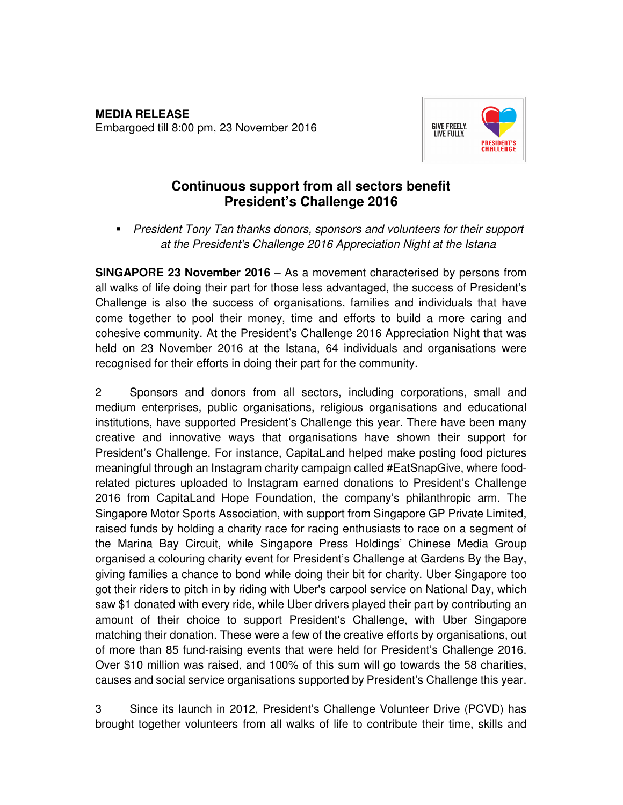

# **Continuous support from all sectors benefit President's Challenge 2016**

**President Tony Tan thanks donors, sponsors and volunteers for their support** at the President's Challenge 2016 Appreciation Night at the Istana

**SINGAPORE 23 November 2016** – As a movement characterised by persons from all walks of life doing their part for those less advantaged, the success of President's Challenge is also the success of organisations, families and individuals that have come together to pool their money, time and efforts to build a more caring and cohesive community. At the President's Challenge 2016 Appreciation Night that was held on 23 November 2016 at the Istana, 64 individuals and organisations were recognised for their efforts in doing their part for the community.

2 Sponsors and donors from all sectors, including corporations, small and medium enterprises, public organisations, religious organisations and educational institutions, have supported President's Challenge this year. There have been many creative and innovative ways that organisations have shown their support for President's Challenge. For instance, CapitaLand helped make posting food pictures meaningful through an Instagram charity campaign called #EatSnapGive, where foodrelated pictures uploaded to Instagram earned donations to President's Challenge 2016 from CapitaLand Hope Foundation, the company's philanthropic arm. The Singapore Motor Sports Association, with support from Singapore GP Private Limited, raised funds by holding a charity race for racing enthusiasts to race on a segment of the Marina Bay Circuit, while Singapore Press Holdings' Chinese Media Group organised a colouring charity event for President's Challenge at Gardens By the Bay, giving families a chance to bond while doing their bit for charity. Uber Singapore too got their riders to pitch in by riding with Uber's carpool service on National Day, which saw \$1 donated with every ride, while Uber drivers played their part by contributing an amount of their choice to support President's Challenge, with Uber Singapore matching their donation. These were a few of the creative efforts by organisations, out of more than 85 fund-raising events that were held for President's Challenge 2016. Over \$10 million was raised, and 100% of this sum will go towards the 58 charities, causes and social service organisations supported by President's Challenge this year.

3 Since its launch in 2012, President's Challenge Volunteer Drive (PCVD) has brought together volunteers from all walks of life to contribute their time, skills and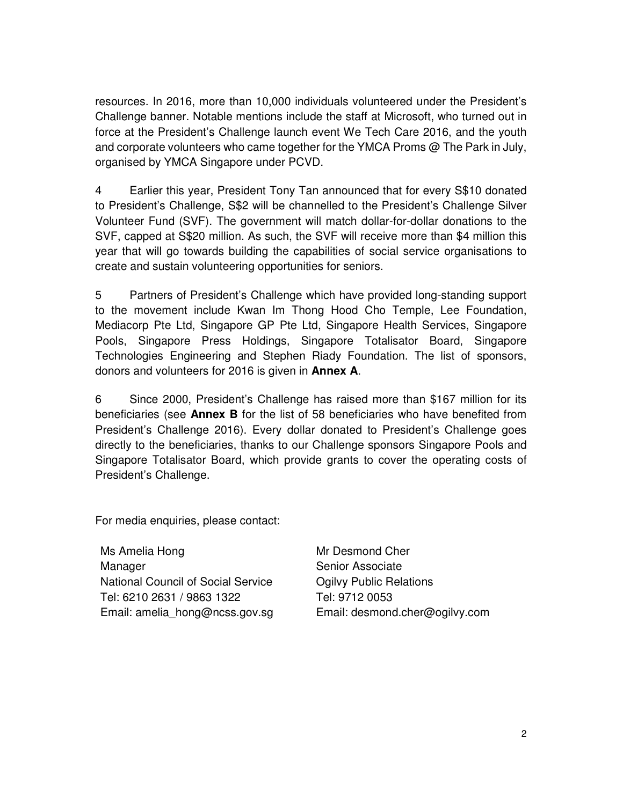resources. In 2016, more than 10,000 individuals volunteered under the President's Challenge banner. Notable mentions include the staff at Microsoft, who turned out in force at the President's Challenge launch event We Tech Care 2016, and the youth and corporate volunteers who came together for the YMCA Proms  $\omega$  The Park in July, organised by YMCA Singapore under PCVD.

4 Earlier this year, President Tony Tan announced that for every S\$10 donated to President's Challenge, S\$2 will be channelled to the President's Challenge Silver Volunteer Fund (SVF). The government will match dollar-for-dollar donations to the SVF, capped at S\$20 million. As such, the SVF will receive more than \$4 million this year that will go towards building the capabilities of social service organisations to create and sustain volunteering opportunities for seniors.

5 Partners of President's Challenge which have provided long-standing support to the movement include Kwan Im Thong Hood Cho Temple, Lee Foundation, Mediacorp Pte Ltd, Singapore GP Pte Ltd, Singapore Health Services, Singapore Pools, Singapore Press Holdings, Singapore Totalisator Board, Singapore Technologies Engineering and Stephen Riady Foundation. The list of sponsors, donors and volunteers for 2016 is given in **Annex A**.

6 Since 2000, President's Challenge has raised more than \$167 million for its beneficiaries (see **Annex B** for the list of 58 beneficiaries who have benefited from President's Challenge 2016). Every dollar donated to President's Challenge goes directly to the beneficiaries, thanks to our Challenge sponsors Singapore Pools and Singapore Totalisator Board, which provide grants to cover the operating costs of President's Challenge.

For media enquiries, please contact:

Ms Amelia Hong Manager National Council of Social Service Tel: 6210 2631 / 9863 1322 Email: amelia\_hong@ncss.gov.sg

Mr Desmond Cher Senior Associate Ogilvy Public Relations Tel: 9712 0053 Email: desmond.cher@ogilvy.com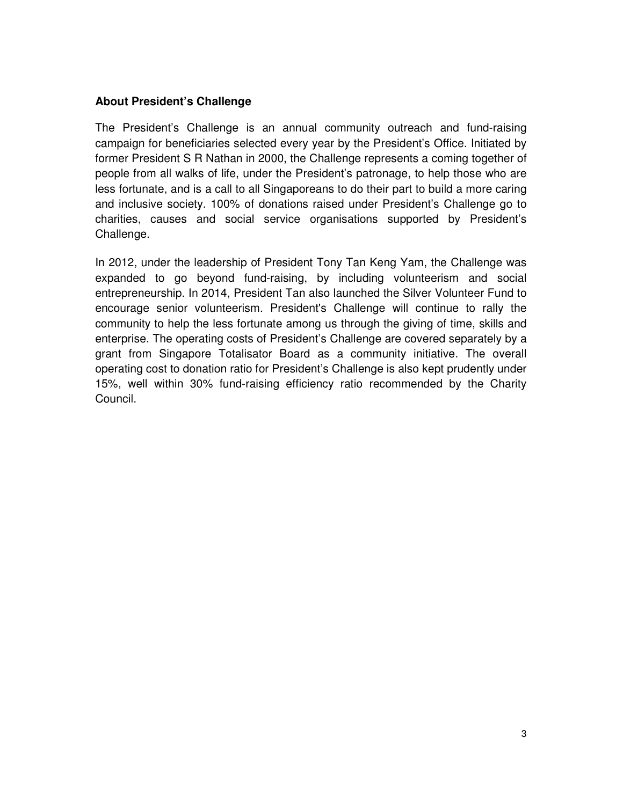## **About President's Challenge**

The President's Challenge is an annual community outreach and fund-raising campaign for beneficiaries selected every year by the President's Office. Initiated by former President S R Nathan in 2000, the Challenge represents a coming together of people from all walks of life, under the President's patronage, to help those who are less fortunate, and is a call to all Singaporeans to do their part to build a more caring and inclusive society. 100% of donations raised under President's Challenge go to charities, causes and social service organisations supported by President's Challenge.

In 2012, under the leadership of President Tony Tan Keng Yam, the Challenge was expanded to go beyond fund-raising, by including volunteerism and social entrepreneurship. In 2014, President Tan also launched the Silver Volunteer Fund to encourage senior volunteerism. President's Challenge will continue to rally the community to help the less fortunate among us through the giving of time, skills and enterprise. The operating costs of President's Challenge are covered separately by a grant from Singapore Totalisator Board as a community initiative. The overall operating cost to donation ratio for President's Challenge is also kept prudently under 15%, well within 30% fund-raising efficiency ratio recommended by the Charity Council.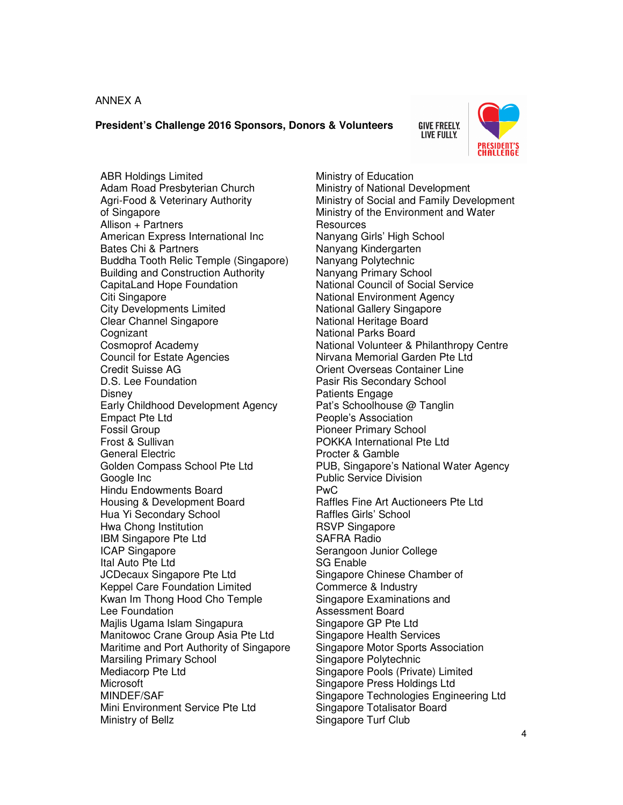#### ANNEX A

#### **President's Challenge 2016 Sponsors, Donors & Volunteers**

**GIVE FREELY. LIVE FULLY.** 



ABR Holdings Limited Adam Road Presbyterian Church Agri-Food & Veterinary Authority of Singapore Allison + Partners American Express International Inc Bates Chi & Partners Buddha Tooth Relic Temple (Singapore) Building and Construction Authority CapitaLand Hope Foundation Citi Singapore City Developments Limited Clear Channel Singapore Cognizant Cosmoprof Academy Council for Estate Agencies Credit Suisse AG D.S. Lee Foundation **Disney** Early Childhood Development Agency Empact Pte Ltd Fossil Group Frost & Sullivan General Electric Golden Compass School Pte Ltd Google Inc Hindu Endowments Board Housing & Development Board Hua Yi Secondary School Hwa Chong Institution IBM Singapore Pte Ltd ICAP Singapore Ital Auto Pte Ltd JCDecaux Singapore Pte Ltd Keppel Care Foundation Limited Kwan Im Thong Hood Cho Temple Lee Foundation Majlis Ugama Islam Singapura Manitowoc Crane Group Asia Pte Ltd Maritime and Port Authority of Singapore Marsiling Primary School Mediacorp Pte Ltd Microsoft MINDEF/SAF Mini Environment Service Pte Ltd Ministry of Bellz

Ministry of Education Ministry of National Development Ministry of Social and Family Development Ministry of the Environment and Water **Resources** Nanyang Girls' High School Nanyang Kindergarten Nanyang Polytechnic Nanyang Primary School National Council of Social Service National Environment Agency National Gallery Singapore National Heritage Board National Parks Board National Volunteer & Philanthropy Centre Nirvana Memorial Garden Pte Ltd Orient Overseas Container Line Pasir Ris Secondary School Patients Engage Pat's Schoolhouse @ Tanglin People's Association Pioneer Primary School POKKA International Pte Ltd Procter & Gamble PUB, Singapore's National Water Agency Public Service Division PwC Raffles Fine Art Auctioneers Pte Ltd Raffles Girls' School RSVP Singapore SAFRA Radio Serangoon Junior College SG Enable Singapore Chinese Chamber of Commerce & Industry Singapore Examinations and Assessment Board Singapore GP Pte Ltd Singapore Health Services Singapore Motor Sports Association Singapore Polytechnic Singapore Pools (Private) Limited Singapore Press Holdings Ltd Singapore Technologies Engineering Ltd Singapore Totalisator Board Singapore Turf Club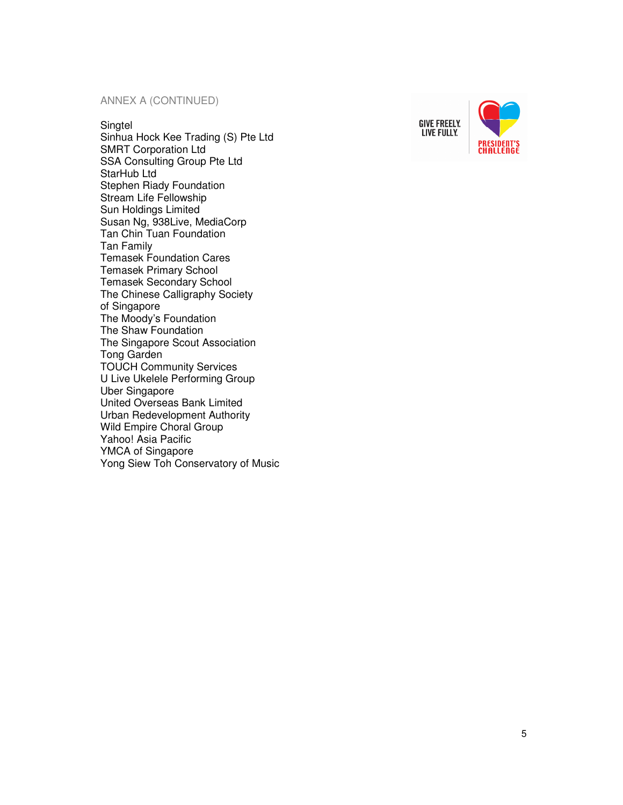#### ANNEX A (CONTINUED)

#### **Singtel**

Sinhua Hock Kee Trading (S) Pte Ltd SMRT Corporation Ltd SSA Consulting Group Pte Ltd StarHub Ltd Stephen Riady Foundation Stream Life Fellowship Sun Holdings Limited Susan Ng, 938Live, MediaCorp Tan Chin Tuan Foundation Tan Family Temasek Foundation Cares Temasek Primary School Temasek Secondary School The Chinese Calligraphy Society of Singapore The Moody's Foundation The Shaw Foundation The Singapore Scout Association Tong Garden TOUCH Community Services U Live Ukelele Performing Group Uber Singapore United Overseas Bank Limited Urban Redevelopment Authority Wild Empire Choral Group Yahoo! Asia Pacific YMCA of Singapore Yong Siew Toh Conservatory of Music



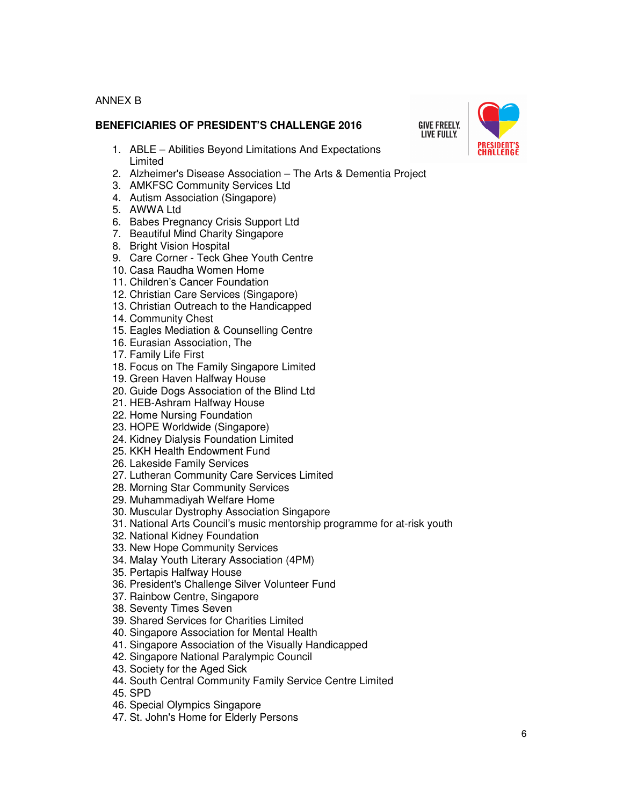### ANNEX B

### **BENEFICIARIES OF PRESIDENT'S CHALLENGE 2016**



- 1. ABLE Abilities Beyond Limitations And Expectations Limited
- 2. Alzheimer's Disease Association The Arts & Dementia Project
- 3. AMKFSC Community Services Ltd
- 4. Autism Association (Singapore)
- 5. AWWA Ltd
- 6. Babes Pregnancy Crisis Support Ltd
- 7. Beautiful Mind Charity Singapore
- 8. Bright Vision Hospital
- 9. Care Corner Teck Ghee Youth Centre
- 10. Casa Raudha Women Home
- 11. Children's Cancer Foundation
- 12. Christian Care Services (Singapore)
- 13. Christian Outreach to the Handicapped
- 14. Community Chest
- 15. Eagles Mediation & Counselling Centre
- 16. Eurasian Association, The
- 17. Family Life First
- 18. Focus on The Family Singapore Limited
- 19. Green Haven Halfway House
- 20. Guide Dogs Association of the Blind Ltd
- 21. HEB-Ashram Halfway House
- 22. Home Nursing Foundation
- 23. HOPE Worldwide (Singapore)
- 24. Kidney Dialysis Foundation Limited
- 25. KKH Health Endowment Fund
- 26. Lakeside Family Services
- 27. Lutheran Community Care Services Limited
- 28. Morning Star Community Services
- 29. Muhammadiyah Welfare Home
- 30. Muscular Dystrophy Association Singapore
- 31. National Arts Council's music mentorship programme for at-risk youth
- 32. National Kidney Foundation
- 33. New Hope Community Services
- 34. Malay Youth Literary Association (4PM)
- 35. Pertapis Halfway House
- 36. President's Challenge Silver Volunteer Fund
- 37. Rainbow Centre, Singapore
- 38. Seventy Times Seven
- 39. Shared Services for Charities Limited
- 40. Singapore Association for Mental Health
- 41. Singapore Association of the Visually Handicapped
- 42. Singapore National Paralympic Council
- 43. Society for the Aged Sick
- 44. South Central Community Family Service Centre Limited
- 45. SPD
- 46. Special Olympics Singapore
- 47. St. John's Home for Elderly Persons